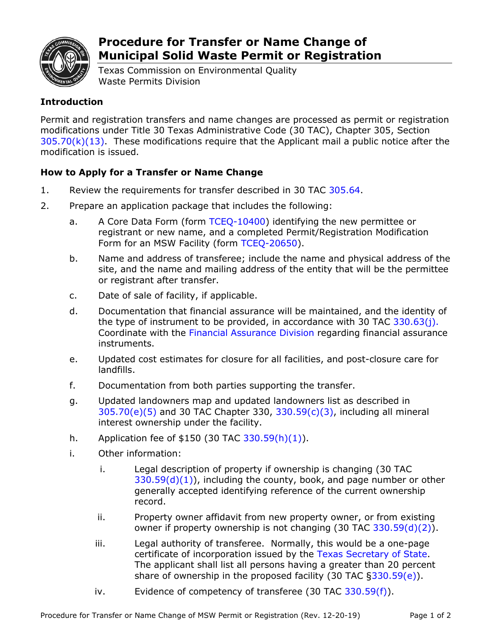

## **Procedure for Transfer or Name Change of Municipal Solid Waste Permit or Registration**

Texas Commission on Environmental Quality Waste Permits Division

## **Introduction**

Permit and registration transfers and name changes are processed as permit or registration modifications under Title 30 Texas Administrative Code (30 TAC), Chapter 305, Section  $305.70(k)(13)$ . These modifications require that the Applicant mail a public notice after the modification is issued.

## **How to Apply for a Transfer or Name Change**

- 1. Review the requirements for transfer described in 30 TAC [305.64.](http://texreg.sos.state.tx.us/public/readtac$ext.TacPage?sl=R&app=9&p_dir=&p_rloc=&p_tloc=&p_ploc=&pg=1&p_tac=&ti=30&pt=1&ch=305&rl=64)
- 2. Prepare an application package that includes the following:
	- a. A Core Data Form (form [TCEQ-10400\)](http://www.tceq.texas.gov/permitting/central_registry/guidance.html) identifying the new permittee or registrant or new name, and a completed Permit/Registration Modification Form for an MSW Facility (form [TCEQ-20650\)](http://www.tceq.texas.gov/assets/public/permitting/forms/20650.pdf).
	- b. Name and address of transferee; include the name and physical address of the site, and the name and mailing address of the entity that will be the permittee or registrant after transfer.
	- c. Date of sale of facility, if applicable.
	- d. Documentation that financial assurance will be maintained, and the identity of the type of instrument to be provided, in accordance with 30 TAC  $330.63(i)$ . Coordinate with the [Financial Assurance](https://www.tceq.texas.gov/agency/financial/financial-assurance/contact_us.html/) Division regarding financial assurance instruments.
	- e. Updated cost estimates for closure for all facilities, and post-closure care for landfills.
	- f. Documentation from both parties supporting the transfer.
	- g. Updated landowners map and updated landowners list as described in [305.70\(e\)\(5\)](http://texreg.sos.state.tx.us/public/readtac$ext.TacPage?sl=R&app=9&p_dir=&p_rloc=&p_tloc=&p_ploc=&pg=1&p_tac=&ti=30&pt=1&ch=305&rl=70) and 30 TAC Chapter 330, [330.59\(c\)\(3\),](http://texreg.sos.state.tx.us/public/readtac$ext.TacPage?sl=R&app=9&p_dir=&p_rloc=&p_tloc=&p_ploc=&pg=1&p_tac=&ti=30&pt=1&ch=330&rl=59) including all mineral interest ownership under the facility.
	- h. Application fee of  $$150$  (30 TAC [330.59\(h\)\(1\)\)](http://texreg.sos.state.tx.us/public/readtac$ext.TacPage?sl=R&app=9&p_dir=&p_rloc=&p_tloc=&p_ploc=&pg=1&p_tac=&ti=30&pt=1&ch=330&rl=59).
	- i. Other information:
		- i. Legal description of property if ownership is changing (30 TAC  $330.59(d)(1)$ , including the county, book, and page number or other generally accepted identifying reference of the current ownership record.
		- ii. Property owner affidavit from new property owner, or from existing owner if property ownership is not changing (30 TAC [330.59\(d\)\(2\)\)](http://texreg.sos.state.tx.us/public/readtac$ext.TacPage?sl=R&app=9&p_dir=&p_rloc=&p_tloc=&p_ploc=&pg=1&p_tac=&ti=30&pt=1&ch=330&rl=59).
		- iii. Legal authority of transferee. Normally, this would be a one-page certificate of incorporation issued by the [Texas Secretary of State.](http://www.sos.state.tx.us/corp/copies.shtml) The applicant shall list all persons having a greater than 20 percent share of ownership in the proposed facility (30 TAC  $\S 330.59(e)$ ).
		- iv. Evidence of competency of transferee  $(30 \text{ TAC } 330.59(f))$  $(30 \text{ TAC } 330.59(f))$ .